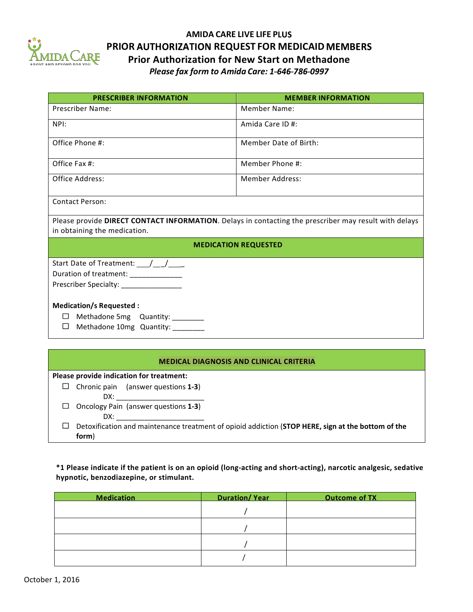

## **AMIDA CARE LIVE LIFE P PRIOR AUTHORIZATION REQUEST FOR MEDICAID MEMBERS Prior Authorization for New Start on Methadone**

*Please fax form to Amida Care:*

| <b>PRESCRIBER INFORMATION</b>                                                                                                              | <b>MEMBER INFORMATION</b> |  |
|--------------------------------------------------------------------------------------------------------------------------------------------|---------------------------|--|
| Prescriber Name:                                                                                                                           | <b>Member Name:</b>       |  |
| NPI:                                                                                                                                       | Amida Care ID #:          |  |
| Office Phone #:                                                                                                                            | Member Date of Birth:     |  |
| Office Fax #:                                                                                                                              | Member Phone #:           |  |
| Office Address:                                                                                                                            | <b>Member Address:</b>    |  |
| <b>Contact Person:</b>                                                                                                                     |                           |  |
| Please provide DIRECT CONTACT INFORMATION. Delays in contacting the prescriber may result with delays<br>in obtaining the medication.      |                           |  |
| <b>MEDICATION REQUESTED</b>                                                                                                                |                           |  |
| Start Date of Treatment: /_/_/<br>Duration of treatment: ______________                                                                    |                           |  |
| <b>Medication/s Requested:</b>                                                                                                             |                           |  |
| Methadone 5mg Quantity: _______<br>Methadone 10mg Quantity: ______                                                                         |                           |  |
|                                                                                                                                            |                           |  |
| <b>MEDICAL DIAGNOSIS AND CLINICAL CRITERIA</b>                                                                                             |                           |  |
| Please provide indication for treatment:                                                                                                   |                           |  |
| $\Box$ Chronic pain (answer questions 1-3)                                                                                                 |                           |  |
| $\Box$ Oncology Pain (answer questions 1-3)                                                                                                |                           |  |
| Detoxification and maintenance treatment of opioid addiction (STOP HERE, sign at the bottom of the<br>$\mathcal{L}_{\mathcal{A}}$<br>form) |                           |  |

**\*1 Please indicate if the patient is on an opioid (long-acting and short-acting), narcotic analgesic, sedative hypnotic, benzodiazepine, or stimulant.**

| <b>Medication</b> | <b>Duration/Year</b> | <b>Outcome of TX</b> |
|-------------------|----------------------|----------------------|
|                   |                      |                      |
|                   |                      |                      |
|                   |                      |                      |
|                   |                      |                      |